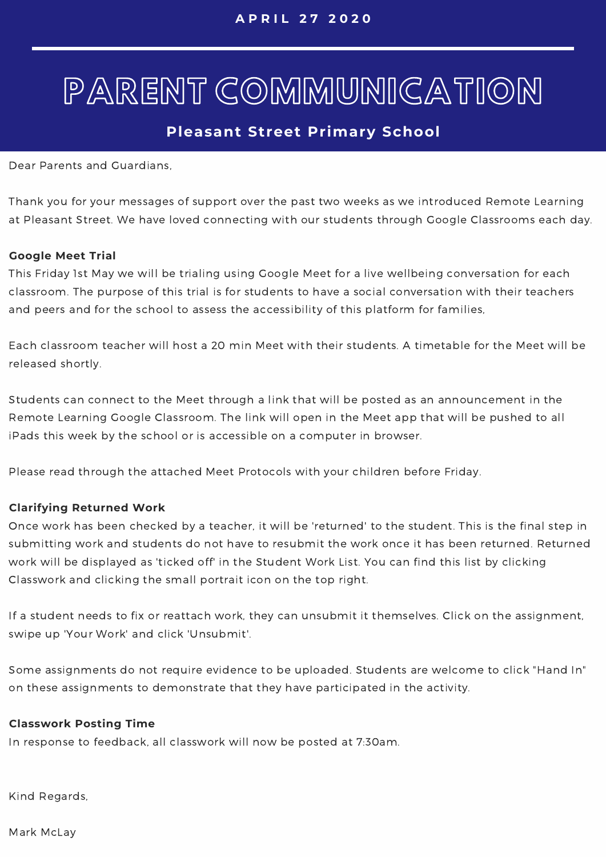# PARENT COMMUNICATION

## **Pleasant Street Primary School**

Dear Parents and Guardians,

Thank you for your messages of support over the past two weeks as we introduced Remote Learning at Pleasant Street. We have loved connecting with our students through Google Classrooms each day.

#### **Google Meet Trial**

This Friday 1st May we will be trialing using Google Meet for a live wellbeing conversation for each classroom. The purpose of this trial is for students to have a social conversation with their teachers and peers and for the school to assess the accessibility of this platform for families,

Each classroom teacher will host a 20 min Meet with their students. A timetable for the Meet will be released shortly.

Students can connect to the Meet through a link that will be posted as an announcement in the Remote Learning Google Classroom. The link will open in the Meet app that will be pushed to all iPads this week by the school or is accessible on a computer in browser.

Please read through the attached Meet Protocols with your children before Friday.

#### **Clarifying Returned Work**

Once work has been checked by a teacher, it will be 'returned' to the student. This is the final step in submitting work and students do not have to resubmit the work once it has been returned. Returned work will be displayed as 'ticked off' in the Student Work List. You can find this list by clicking Classwork and clicking the small portrait icon on the top right.

If a student needs to fix or reattach work, they can unsubmit it themselves. Click on the assignment, swipe up 'Your Work' and click 'Unsubmit'.

Some assignments do not require evidence to be uploaded. Students are welcome to click "Hand In" on these assignments to demonstrate that they have participated in the activity.

#### **Classwork Posting Time**

In response to feedback, all classwork will now be posted at 7:30am.

Kind Regards,

Mark McLay